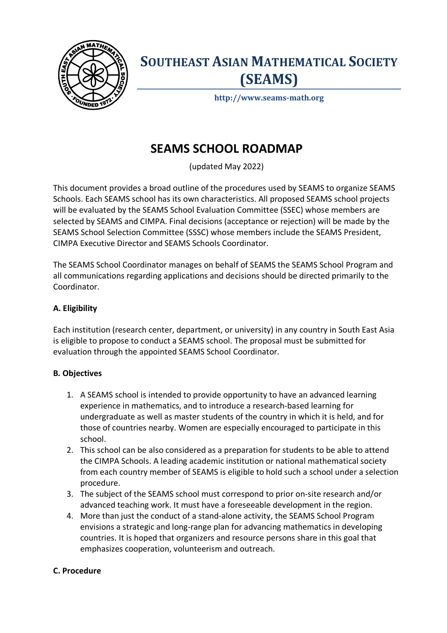

## **SOUTHEAST ASIAN MATHEMATICAL SOCIETY (SEAMS)**

**http://www.seams-math.org**

### **SEAMS SCHOOL ROADMAP**

(updated May 2022)

This document provides a broad outline of the procedures used by SEAMS to organize SEAMS Schools. Each SEAMS school has its own characteristics. All proposed SEAMS school projects will be evaluated by the SEAMS School Evaluation Committee (SSEC) whose members are selected by SEAMS and CIMPA. Final decisions (acceptance or rejection) will be made by the SEAMS School Selection Committee (SSSC) whose members include the SEAMS President, CIMPA Executive Director and SEAMS Schools Coordinator.

The SEAMS School Coordinator manages on behalf of SEAMS the SEAMS School Program and all communications regarding applications and decisions should be directed primarily to the Coordinator.

#### **A. Eligibility**

Each institution (research center, department, or university) in any country in South East Asia is eligible to propose to conduct a SEAMS school. The proposal must be submitted for evaluation through the appointed SEAMS School Coordinator.

#### **B***.* **Objectives**

- 1. A SEAMS school is intended to provide opportunity to have an advanced learning experience in mathematics, and to introduce a research-based learning for undergraduate as well as master students of the country in which it is held, and for those of countries nearby. Women are especially encouraged to participate in this school.
- 2. This school can be also considered as a preparation for students to be able to attend the CIMPA Schools. A leading academic institution or national mathematical society from each country member of SEAMS is eligible to hold such a school under a selection procedure.
- 3. The subject of the SEAMS school must correspond to prior on-site research and/or advanced teaching work. It must have a foreseeable development in the region.
- 4. More than just the conduct of a stand-alone activity, the SEAMS School Program envisions a strategic and long-range plan for advancing mathematics in developing countries. It is hoped that organizers and resource persons share in this goal that emphasizes cooperation, volunteerism and outreach.

#### **C. Procedure**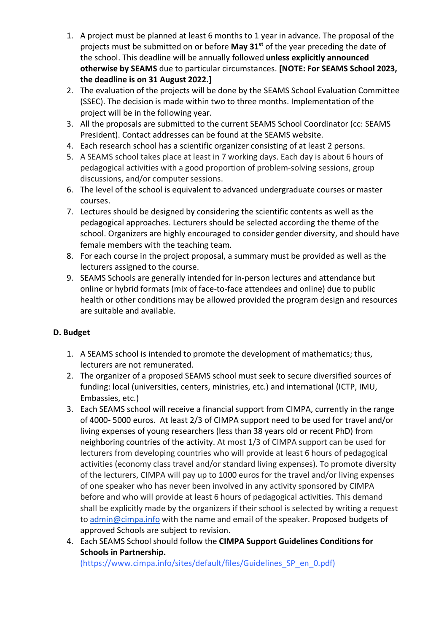- 1. A project must be planned at least 6 months to 1 year in advance. The proposal of the projects must be submitted on or before **May 31st** of the year preceding the date of the school. This deadline will be annually followed **unless explicitly announced otherwise by SEAMS** due to particular circumstances. **[NOTE: For SEAMS School 2023, the deadline is on 31 August 2022.]**
- 2. The evaluation of the projects will be done by the SEAMS School Evaluation Committee (SSEC). The decision is made within two to three months. Implementation of the project will be in the following year.
- 3. All the proposals are submitted to the current SEAMS School Coordinator (cc: SEAMS President). Contact addresses can be found at the SEAMS website.
- 4. Each research school has a scientific organizer consisting of at least 2 persons.
- 5. A SEAMS school takes place at least in 7 working days. Each day is about 6 hours of pedagogical activities with a good proportion of problem-solving sessions, group discussions, and/or computer sessions.
- 6. The level of the school is equivalent to advanced undergraduate courses or master courses.
- 7. Lectures should be designed by considering the scientific contents as well as the pedagogical approaches. Lecturers should be selected according the theme of the school. Organizers are highly encouraged to consider gender diversity, and should have female members with the teaching team.
- 8. For each course in the project proposal, a summary must be provided as well as the lecturers assigned to the course.
- 9. SEAMS Schools are generally intended for in-person lectures and attendance but online or hybrid formats (mix of face-to-face attendees and online) due to public health or other conditions may be allowed provided the program design and resources are suitable and available.

#### **D. Budget**

- 1. A SEAMS school is intended to promote the development of mathematics; thus, lecturers are not remunerated.
- 2. The organizer of a proposed SEAMS school must seek to secure diversified sources of funding: local (universities, centers, ministries, etc.) and international (ICTP, IMU, Embassies, etc.)
- 3. Each SEAMS school will receive a financial support from CIMPA, currently in the range of 4000- 5000 euros. At least 2/3 of CIMPA support need to be used for travel and/or living expenses of young researchers (less than 38 years old or recent PhD) from neighboring countries of the activity. At most 1/3 of CIMPA support can be used for lecturers from developing countries who will provide at least 6 hours of pedagogical activities (economy class travel and/or standard living expenses). To promote diversity of the lecturers, CIMPA will pay up to 1000 euros for the travel and/or living expenses of one speaker who has never been involved in any activity sponsored by CIMPA before and who will provide at least 6 hours of pedagogical activities. This demand shall be explicitly made by the organizers if their school is selected by writing a request to admin@cimpa.info with the name and email of the speaker. Proposed budgets of approved Schools are subject to revision.
- 4. Each SEAMS School should follow the **CIMPA Support Guidelines Conditions for Schools in Partnership.**

(https://www.cimpa.info/sites/default/files/Guidelines\_SP\_en\_0.pdf)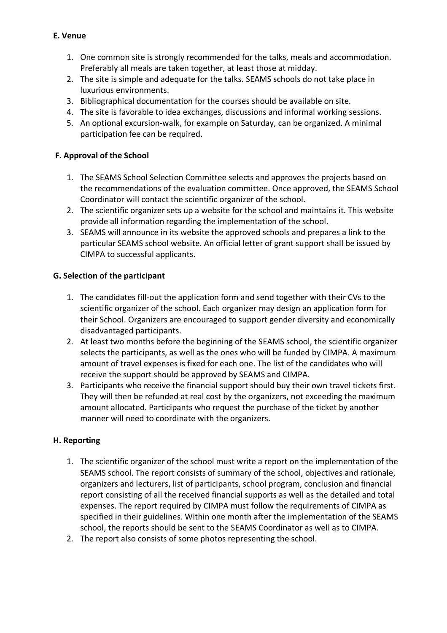#### **E. Venue**

- 1. One common site is strongly recommended for the talks, meals and accommodation. Preferably all meals are taken together, at least those at midday.
- 2. The site is simple and adequate for the talks. SEAMS schools do not take place in luxurious environments.
- 3. Bibliographical documentation for the courses should be available on site.
- 4. The site is favorable to idea exchanges, discussions and informal working sessions.
- 5. An optional excursion-walk, for example on Saturday, can be organized. A minimal participation fee can be required.

#### **F. Approval of the School**

- 1. The SEAMS School Selection Committee selects and approves the projects based on the recommendations of the evaluation committee. Once approved, the SEAMS School Coordinator will contact the scientific organizer of the school.
- 2. The scientific organizer sets up a website for the school and maintains it. This website provide all information regarding the implementation of the school.
- 3. SEAMS will announce in its website the approved schools and prepares a link to the particular SEAMS school website. An official letter of grant support shall be issued by CIMPA to successful applicants.

#### **G. Selection of the participant**

- 1. The candidates fill-out the application form and send together with their CVs to the scientific organizer of the school. Each organizer may design an application form for their School. Organizers are encouraged to support gender diversity and economically disadvantaged participants.
- 2. At least two months before the beginning of the SEAMS school, the scientific organizer selects the participants, as well as the ones who will be funded by CIMPA. A maximum amount of travel expenses is fixed for each one. The list of the candidates who will receive the support should be approved by SEAMS and CIMPA.
- 3. Participants who receive the financial support should buy their own travel tickets first. They will then be refunded at real cost by the organizers, not exceeding the maximum amount allocated. Participants who request the purchase of the ticket by another manner will need to coordinate with the organizers.

#### **H. Reporting**

- 1. The scientific organizer of the school must write a report on the implementation of the SEAMS school. The report consists of summary of the school, objectives and rationale, organizers and lecturers, list of participants, school program, conclusion and financial report consisting of all the received financial supports as well as the detailed and total expenses. The report required by CIMPA must follow the requirements of CIMPA as specified in their guidelines. Within one month after the implementation of the SEAMS school, the reports should be sent to the SEAMS Coordinator as well as to CIMPA.
- 2. The report also consists of some photos representing the school.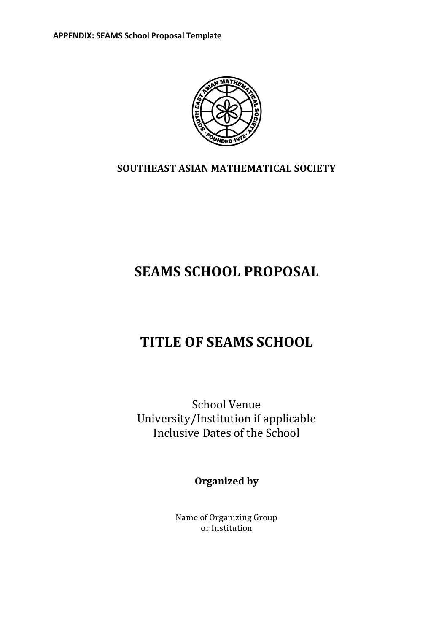

### **SOUTHEAST ASIAN MATHEMATICAL SOCIETY**

# **SEAMS SCHOOL PROPOSAL**

# **TITLE OF SEAMS SCHOOL**

School Venue University/Institution if applicable Inclusive Dates of the School

**Organized by** 

Name of Organizing Group or Institution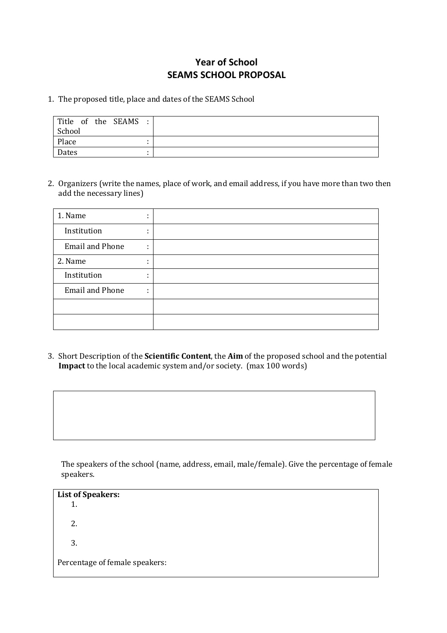### **Year of School SEAMS SCHOOL PROPOSAL**

#### 1. The proposed title, place and dates of the SEAMS School

| Title of the SEAMS: |  |
|---------------------|--|
| School              |  |
| Place               |  |
| Dates               |  |

2. Organizers (write the names, place of work, and email address, if you have more than two then add the necessary lines)

| 1. Name                | ٠<br>٠. |  |
|------------------------|---------|--|
| Institution            | ٠       |  |
| <b>Email and Phone</b> | ÷       |  |
| 2. Name                | ٠<br>٠. |  |
| Institution            | ٠<br>٠. |  |
| <b>Email and Phone</b> | ٠<br>٠. |  |
|                        |         |  |
|                        |         |  |

3. Short Description of the **Scientific Content**, the Aim of the proposed school and the potential **Impact** to the local academic system and/or society. (max 100 words)

The speakers of the school (name, address, email, male/female). Give the percentage of female speakers. 

**List of Speakers:** 1. 2. 3. Percentage of female speakers: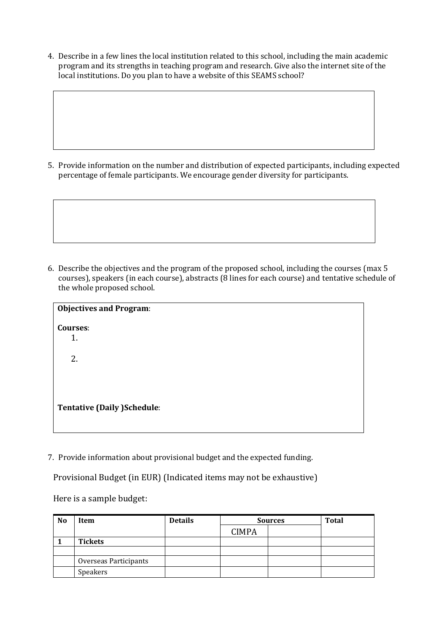4. Describe in a few lines the local institution related to this school, including the main academic program and its strengths in teaching program and research. Give also the internet site of the local institutions. Do you plan to have a website of this SEAMS school?

5. Provide information on the number and distribution of expected participants, including expected percentage of female participants. We encourage gender diversity for participants.

6. Describe the objectives and the program of the proposed school, including the courses (max 5 courses), speakers (in each course), abstracts (8 lines for each course) and tentative schedule of the whole proposed school.

| <b>Objectives and Program:</b>     |  |  |
|------------------------------------|--|--|
| <b>Courses:</b><br>1.              |  |  |
| 2.                                 |  |  |
| <b>Tentative (Daily )Schedule:</b> |  |  |
|                                    |  |  |

7. Provide information about provisional budget and the expected funding.

Provisional Budget (in EUR) (Indicated items may not be exhaustive)

Here is a sample budget:

| N <sub>o</sub> | Item                  | <b>Details</b> | <b>Sources</b> |  | Total |
|----------------|-----------------------|----------------|----------------|--|-------|
|                |                       |                | <b>CIMPA</b>   |  |       |
|                | <b>Tickets</b>        |                |                |  |       |
|                |                       |                |                |  |       |
|                | Overseas Participants |                |                |  |       |
|                | Speakers              |                |                |  |       |